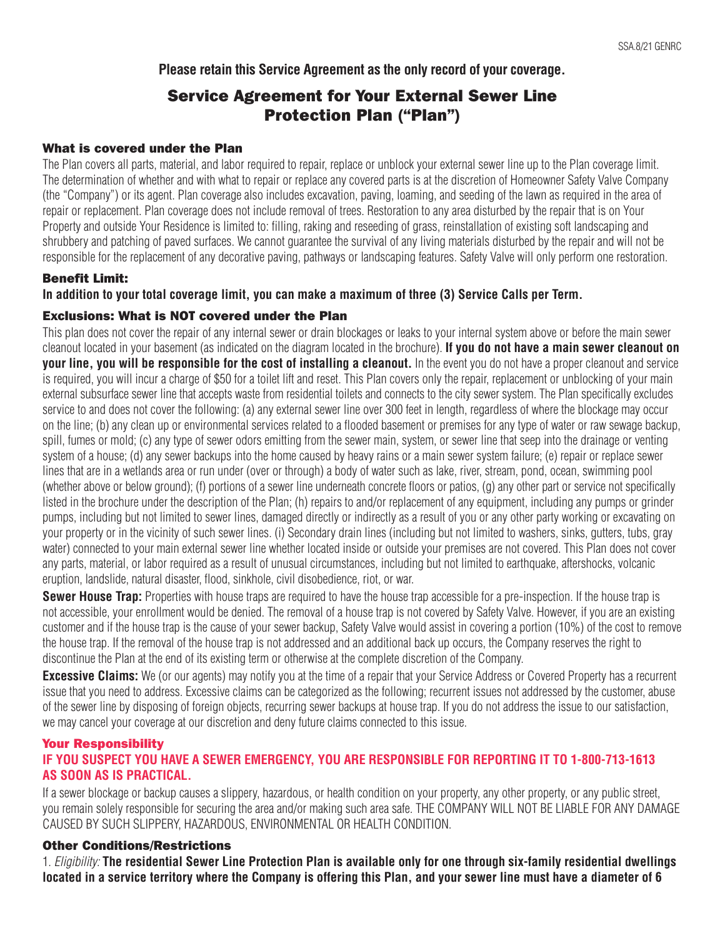**Please retain this Service Agreement as the only record of your coverage.**

# Service Agreement for Your External Sewer Line Protection Plan ("Plan")

#### What is covered under the Plan

The Plan covers all parts, material, and labor required to repair, replace or unblock your external sewer line up to the Plan coverage limit. The determination of whether and with what to repair or replace any covered parts is at the discretion of Homeowner Safety Valve Company (the "Company") or its agent. Plan coverage also includes excavation, paving, loaming, and seeding of the lawn as required in the area of repair or replacement. Plan coverage does not include removal of trees. Restoration to any area disturbed by the repair that is on Your Property and outside Your Residence is limited to: filling, raking and reseeding of grass, reinstallation of existing soft landscaping and shrubbery and patching of paved surfaces. We cannot guarantee the survival of any living materials disturbed by the repair and will not be responsible for the replacement of any decorative paving, pathways or landscaping features. Safety Valve will only perform one restoration.

#### Benefit Limit:

**In addition to your total coverage limit, you can make a maximum of three (3) Service Calls per Term.**

#### Exclusions: What is NOT covered under the Plan

This plan does not cover the repair of any internal sewer or drain blockages or leaks to your internal system above or before the main sewer cleanout located in your basement (as indicated on the diagram located in the brochure). **If you do not have a main sewer cleanout on your line, you will be responsible for the cost of installing a cleanout.** In the event you do not have a proper cleanout and service is required, you will incur a charge of \$50 for a toilet lift and reset. This Plan covers only the repair, replacement or unblocking of your main external subsurface sewer line that accepts waste from residential toilets and connects to the city sewer system. The Plan specifically excludes service to and does not cover the following: (a) any external sewer line over 300 feet in length, regardless of where the blockage may occur on the line; (b) any clean up or environmental services related to a flooded basement or premises for any type of water or raw sewage backup, spill, fumes or mold; (c) any type of sewer odors emitting from the sewer main, system, or sewer line that seep into the drainage or venting system of a house; (d) any sewer backups into the home caused by heavy rains or a main sewer system failure; (e) repair or replace sewer lines that are in a wetlands area or run under (over or through) a body of water such as lake, river, stream, pond, ocean, swimming pool (whether above or below ground); (f) portions of a sewer line underneath concrete floors or patios, (g) any other part or service not specifically listed in the brochure under the description of the Plan; (h) repairs to and/or replacement of any equipment, including any pumps or grinder pumps, including but not limited to sewer lines, damaged directly or indirectly as a result of you or any other party working or excavating on your property or in the vicinity of such sewer lines. (i) Secondary drain lines (including but not limited to washers, sinks, gutters, tubs, gray water) connected to your main external sewer line whether located inside or outside your premises are not covered. This Plan does not cover any parts, material, or labor required as a result of unusual circumstances, including but not limited to earthquake, aftershocks, volcanic eruption, landslide, natural disaster, flood, sinkhole, civil disobedience, riot, or war.

**Sewer House Trap:** Properties with house traps are required to have the house trap accessible for a pre-inspection. If the house trap is not accessible, your enrollment would be denied. The removal of a house trap is not covered by Safety Valve. However, if you are an existing customer and if the house trap is the cause of your sewer backup, Safety Valve would assist in covering a portion (10%) of the cost to remove the house trap. If the removal of the house trap is not addressed and an additional back up occurs, the Company reserves the right to discontinue the Plan at the end of its existing term or otherwise at the complete discretion of the Company.

**Excessive Claims:** We (or our agents) may notify you at the time of a repair that your Service Address or Covered Property has a recurrent issue that you need to address. Excessive claims can be categorized as the following; recurrent issues not addressed by the customer, abuse of the sewer line by disposing of foreign objects, recurring sewer backups at house trap. If you do not address the issue to our satisfaction, we may cancel your coverage at our discretion and deny future claims connected to this issue.

#### Your Responsibility

### **IF YOU SUSPECT YOU HAVE A SEWER EMERGENCY, YOU ARE RESPONSIBLE FOR REPORTING IT TO 1-800-713-1613 AS SOON AS IS PRACTICAL.**

If a sewer blockage or backup causes a slippery, hazardous, or health condition on your property, any other property, or any public street, you remain solely responsible for securing the area and/or making such area safe. THE COMPANY WILL NOT BE LIABLE FOR ANY DAMAGE CAUSED BY SUCH SLIPPERY, HAZARDOUS, ENVIRONMENTAL OR HEALTH CONDITION.

### Other Conditions/Restrictions

1. Eligibility: **The residential Sewer Line Protection Plan is available only for one through six-family residential dwellings located in a service territory where the Company is offering this Plan, and your sewer line must have a diameter of 6**